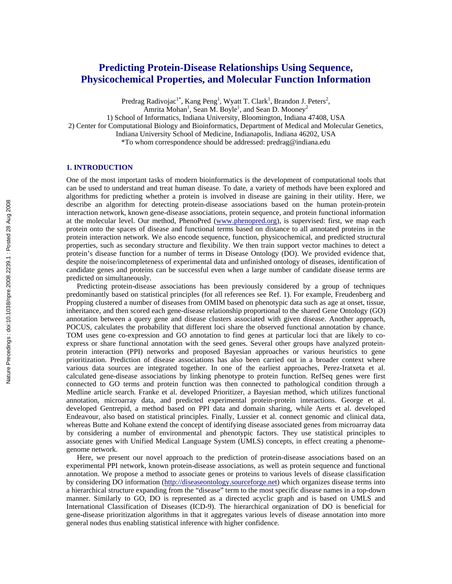# **Predicting Protein-Disease Relationships Using Sequence, Physicochemical Properties, and Molecular Function Information**

Predrag Radivojac<sup>1\*</sup>, Kang Peng<sup>1</sup>, Wyatt T. Clark<sup>1</sup>, Brandon J. Peters<sup>2</sup>,

Amrita Mohan<sup>1</sup>, Sean M. Boyle<sup>1</sup>, and Sean D. Mooney<sup>2</sup>

1) School of Informatics, Indiana University, Bloomington, Indiana 47408, USA

2) Center for Computational Biology and Bioinformatics, Department of Medical and Molecular Genetics,

Indiana University School of Medicine, Indianapolis, Indiana 46202, USA

\*To whom correspondence should be addressed: predrag@indiana.edu

#### **1. INTRODUCTION**

One of the most important tasks of modern bioinformatics is the development of computational tools that can be used to understand and treat human disease. To date, a variety of methods have been explored and algorithms for predicting whether a protein is involved in disease are gaining in their utility. Here, we describe an algorithm for detecting protein-disease associations based on the human protein-protein interaction network, known gene-disease associations, protein sequence, and protein functional information at the molecular level. Our method, PhenoPred (www.phenopred.org), is supervised: first, we map each protein onto the spaces of disease and functional terms based on distance to all annotated proteins in the protein interaction network. We also encode sequence, function, physicochemical, and predicted structural properties, such as secondary structure and flexibility. We then train support vector machines to detect a protein's disease function for a number of terms in Disease Ontology (DO). We provided evidence that, despite the noise/incompleteness of experimental data and unfinished ontology of diseases, identification of candidate genes and proteins can be successful even when a large number of candidate disease terms are predicted on simultaneously.

Predicting protein-disease associations has been previously considered by a group of techniques predominantly based on statistical principles (for all references see Ref. 1). For example, Freudenberg and Propping clustered a number of diseases from OMIM based on phenotypic data such as age at onset, tissue, inheritance, and then scored each gene-disease relationship proportional to the shared Gene Ontology (GO) annotation between a query gene and disease clusters associated with given disease. Another approach, POCUS, calculates the probability that different loci share the observed functional annotation by chance. TOM uses gene co-expression and GO annotation to find genes at particular loci that are likely to coexpress or share functional annotation with the seed genes. Several other groups have analyzed proteinprotein interaction (PPI) networks and proposed Bayesian approaches or various heuristics to gene prioritization. Prediction of disease associations has also been carried out in a broader context where various data sources are integrated together. In one of the earliest approaches, Perez-Iratxeta et al. calculated gene-disease associations by linking phenotype to protein function. RefSeq genes were first connected to GO terms and protein function was then connected to pathological condition through a Medline article search. Franke et al. developed Prioritizer, a Bayesian method, which utilizes functional annotation, microarray data, and predicted experimental protein-protein interactions. George et al. developed Gentrepid, a method based on PPI data and domain sharing, while Aerts et al. developed Endeavour, also based on statistical principles. Finally, Lussier et al. connect genomic and clinical data, whereas Butte and Kohane extend the concept of identifying disease associated genes from microarray data by considering a number of environmental and phenotypic factors. They use statistical principles to associate genes with Unified Medical Language System (UMLS) concepts, in effect creating a phenomegenome network.

Here, we present our novel approach to the prediction of protein-disease associations based on an experimental PPI network, known protein-disease associations, as well as protein sequence and functional annotation. We propose a method to associate genes or proteins to various levels of disease classification by considering DO information (http://diseaseontology.sourceforge.net) which organizes disease terms into a hierarchical structure expanding from the "disease" term to the most specific disease names in a top-down manner. Similarly to GO, DO is represented as a directed acyclic graph and is based on UMLS and International Classification of Diseases (ICD-9). The hierarchical organization of DO is beneficial for gene-disease prioritization algorithms in that it aggregates various levels of disease annotation into more general nodes thus enabling statistical inference with higher confidence.